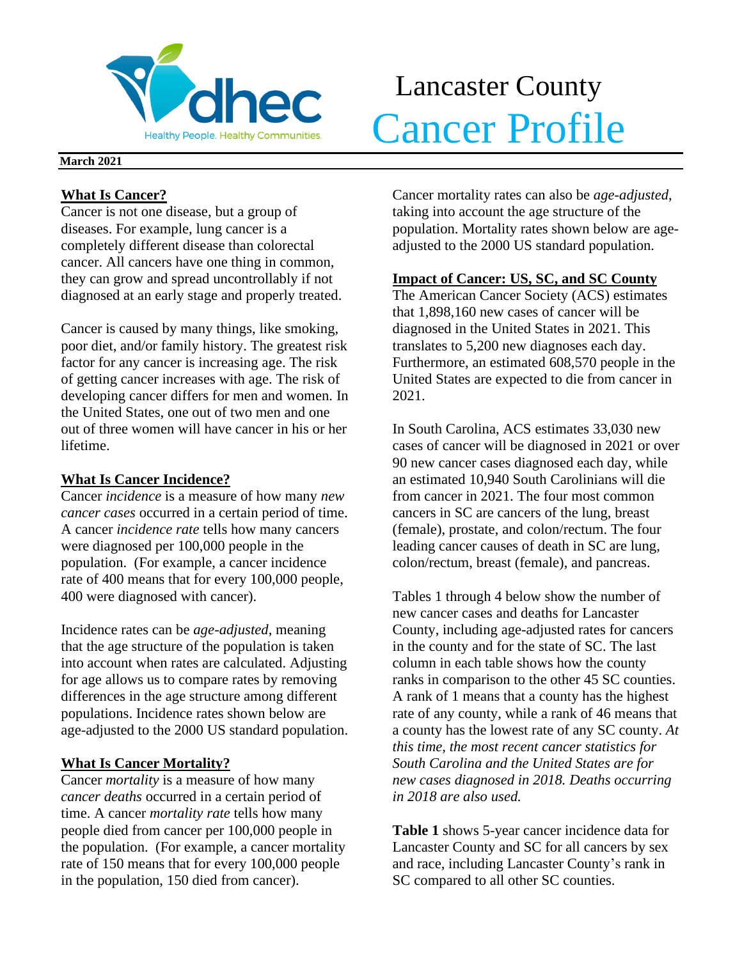

# Lancaster County Melthy People. Healthy Communities. Cancer Profile

#### **March 2021**

### **What Is Cancer?**

Cancer is not one disease, but a group of diseases. For example, lung cancer is a completely different disease than colorectal cancer. All cancers have one thing in common, they can grow and spread uncontrollably if not diagnosed at an early stage and properly treated.

Cancer is caused by many things, like smoking, poor diet, and/or family history. The greatest risk factor for any cancer is increasing age. The risk of getting cancer increases with age. The risk of developing cancer differs for men and women. In the United States, one out of two men and one out of three women will have cancer in his or her lifetime.

# **What Is Cancer Incidence?**

Cancer *incidence* is a measure of how many *new cancer cases* occurred in a certain period of time. A cancer *incidence rate* tells how many cancers were diagnosed per 100,000 people in the population. (For example, a cancer incidence rate of 400 means that for every 100,000 people, 400 were diagnosed with cancer).

Incidence rates can be *age-adjusted*, meaning that the age structure of the population is taken into account when rates are calculated. Adjusting for age allows us to compare rates by removing differences in the age structure among different populations. Incidence rates shown below are age-adjusted to the 2000 US standard population.

# **What Is Cancer Mortality?**

Cancer *mortality* is a measure of how many *cancer deaths* occurred in a certain period of time. A cancer *mortality rate* tells how many people died from cancer per 100,000 people in the population. (For example, a cancer mortality rate of 150 means that for every 100,000 people in the population, 150 died from cancer).

Cancer mortality rates can also be *age-adjusted*, taking into account the age structure of the population. Mortality rates shown below are ageadjusted to the 2000 US standard population.

# **Impact of Cancer: US, SC, and SC County**

The American Cancer Society (ACS) estimates that 1,898,160 new cases of cancer will be diagnosed in the United States in 2021. This translates to 5,200 new diagnoses each day. Furthermore, an estimated 608,570 people in the United States are expected to die from cancer in 2021.

In South Carolina, ACS estimates 33,030 new cases of cancer will be diagnosed in 2021 or over 90 new cancer cases diagnosed each day, while an estimated 10,940 South Carolinians will die from cancer in 2021. The four most common cancers in SC are cancers of the lung, breast (female), prostate, and colon/rectum. The four leading cancer causes of death in SC are lung, colon/rectum, breast (female), and pancreas.

Tables 1 through 4 below show the number of new cancer cases and deaths for Lancaster County, including age-adjusted rates for cancers in the county and for the state of SC. The last column in each table shows how the county ranks in comparison to the other 45 SC counties. A rank of 1 means that a county has the highest rate of any county, while a rank of 46 means that a county has the lowest rate of any SC county. *At this time, the most recent cancer statistics for South Carolina and the United States are for new cases diagnosed in 2018. Deaths occurring in 2018 are also used.*

**Table 1** shows 5-year cancer incidence data for Lancaster County and SC for all cancers by sex and race, including Lancaster County's rank in SC compared to all other SC counties.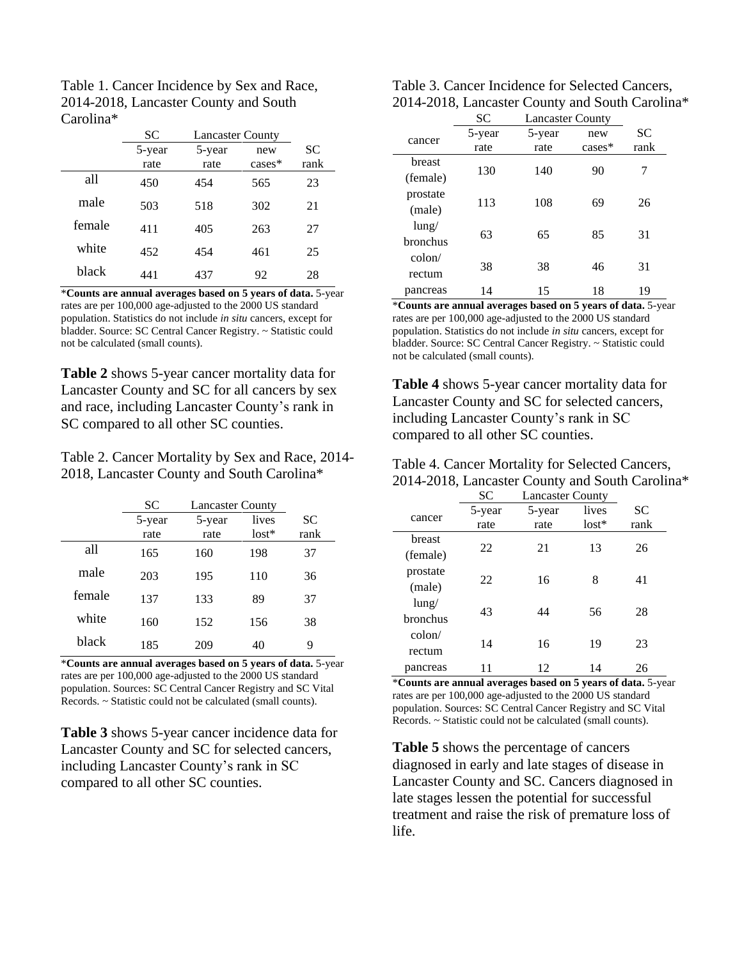| Table 1. Cancer Incidence by Sex and Race, |
|--------------------------------------------|
| 2014-2018, Lancaster County and South      |
| Carolina <sup>*</sup>                      |

|        | SС     | <b>Lancaster County</b> |           |           |
|--------|--------|-------------------------|-----------|-----------|
|        | 5-year | 5-year                  | new       | <b>SC</b> |
|        | rate   | rate                    | $cases^*$ | rank      |
| all    | 450    | 454                     | 565       | 23        |
| male   | 503    | 518                     | 302       | 21        |
| female | 411    | 405                     | 263       | 27        |
| white  | 452    | 454                     | 461       | 25        |
| black  | 441    | 437                     | 92        | 28        |

\***Counts are annual averages based on 5 years of data.** 5-year rates are per 100,000 age-adjusted to the 2000 US standard population. Statistics do not include *in situ* cancers, except for bladder. Source: SC Central Cancer Registry. ~ Statistic could not be calculated (small counts).

**Table 2** shows 5-year cancer mortality data for Lancaster County and SC for all cancers by sex and race, including Lancaster County's rank in SC compared to all other SC counties.

Table 2. Cancer Mortality by Sex and Race, 2014- 2018, Lancaster County and South Carolina\*

|        | <b>SC</b> | <b>Lancaster County</b> |         |           |
|--------|-----------|-------------------------|---------|-----------|
|        | 5-year    | 5-year                  | lives   | <b>SC</b> |
|        | rate      | rate                    | $lost*$ | rank      |
| all    | 165       | 160                     | 198     | 37        |
| male   | 203       | 195                     | 110     | 36        |
| female | 137       | 133                     | 89      | 37        |
| white  | 160       | 152                     | 156     | 38        |
| black  | 185       | 209                     | 40      | 9         |

\***Counts are annual averages based on 5 years of data.** 5-year rates are per 100,000 age-adjusted to the 2000 US standard population. Sources: SC Central Cancer Registry and SC Vital Records. ~ Statistic could not be calculated (small counts).

**Table 3** shows 5-year cancer incidence data for Lancaster County and SC for selected cancers, including Lancaster County's rank in SC compared to all other SC counties.

| Table 3. Cancer Incidence for Selected Cancers, |
|-------------------------------------------------|
| 2014-2018, Lancaster County and South Carolina* |

|                 | SC     | <b>Lancaster County</b> |          |      |  |
|-----------------|--------|-------------------------|----------|------|--|
| cancer          | 5-year | 5-year                  | new      | SС   |  |
|                 | rate   | rate                    | $cases*$ | rank |  |
| breast          |        |                         |          |      |  |
| (female)        | 130    | 140                     | 90       | 7    |  |
| prostate        | 113    | 108                     | 69       | 26   |  |
| (male)          |        |                         |          |      |  |
| $l$ ung/        |        |                         |          |      |  |
| bronchus        | 63     | 65                      | 85       | 31   |  |
| $\text{colon}/$ |        |                         |          |      |  |
| rectum          | 38     | 38                      | 46       | 31   |  |
| pancreas        | 14     | 15                      | 18       | 19   |  |

\***Counts are annual averages based on 5 years of data.** 5-year rates are per 100,000 age-adjusted to the 2000 US standard population. Statistics do not include *in situ* cancers, except for bladder. Source: SC Central Cancer Registry. ~ Statistic could not be calculated (small counts).

**Table 4** shows 5-year cancer mortality data for Lancaster County and SC for selected cancers, including Lancaster County's rank in SC compared to all other SC counties.

| Table 4. Cancer Mortality for Selected Cancers, |
|-------------------------------------------------|
| 2014-2018, Lancaster County and South Carolina* |

|                 | <b>SC</b> | <b>Lancaster County</b> |         |      |
|-----------------|-----------|-------------------------|---------|------|
|                 | 5-year    | 5-year                  | lives   | SС   |
| cancer          | rate      | rate                    | $lost*$ | rank |
| breast          |           |                         |         |      |
| (female)        | 22        | 21                      | 13      | 26   |
| prostate        | 22        | 16                      | 8       | 41   |
| (male)          |           |                         |         |      |
| $l$ ung/        | 43        | 44                      | 56      |      |
| bronchus        |           |                         |         | 28   |
| $\text{colon}/$ | 14        | 16                      | 19      | 23   |
| rectum          |           |                         |         |      |
| pancreas        |           | 12                      | 14      | 26   |

\***Counts are annual averages based on 5 years of data.** 5-year rates are per 100,000 age-adjusted to the 2000 US standard population. Sources: SC Central Cancer Registry and SC Vital Records. ~ Statistic could not be calculated (small counts).

**Table 5** shows the percentage of cancers diagnosed in early and late stages of disease in Lancaster County and SC. Cancers diagnosed in late stages lessen the potential for successful treatment and raise the risk of premature loss of life.